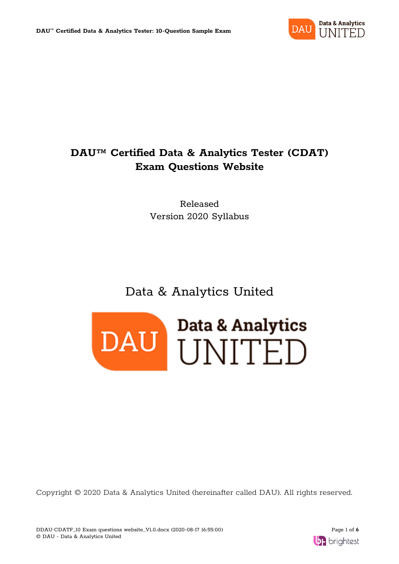

# **DAU™ Certified Data & Analytics Tester (CDAT) Exam Questions Website**

Released Version 2020 Syllabus

# Data & Analytics United



Copyright © 2020 Data & Analytics United (hereinafter called DAU). All rights reserved.

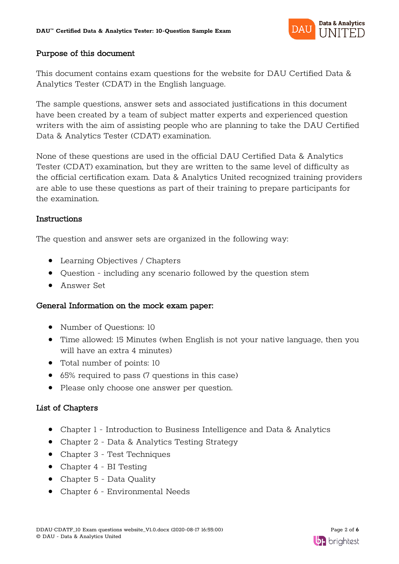

### Purpose of this document

This document contains exam questions for the website for DAU Certified Data & Analytics Tester (CDAT) in the English language.

The sample questions, answer sets and associated justifications in this document have been created by a team of subject matter experts and experienced question writers with the aim of assisting people who are planning to take the DAU Certified Data & Analytics Tester (CDAT) examination.

None of these questions are used in the official DAU Certified Data & Analytics Tester (CDAT) examination, but they are written to the same level of difficulty as the official certification exam. Data & Analytics United recognized training providers are able to use these questions as part of their training to prepare participants for the examination.

### Instructions

The question and answer sets are organized in the following way:

- Learning Objectives / Chapters
- Question including any scenario followed by the question stem
- Answer Set

### General Information on the mock exam paper:

- Number of Questions: 10
- Time allowed: 15 Minutes (when English is not your native language, then you will have an extra 4 minutes)
- Total number of points: 10
- 65% required to pass (7 questions in this case)
- Please only choose one answer per question.

### List of Chapters

- Chapter 1 Introduction to Business Intelligence and Data & Analytics
- Chapter 2 Data & Analytics Testing Strategy
- Chapter 3 Test Techniques
- Chapter 4 BI Testing
- Chapter 5 Data Quality
- Chapter 6 Environmental Needs

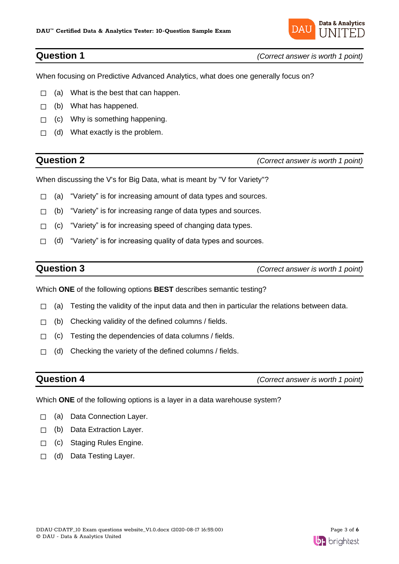

**Question 1** *(Correct answer is worth 1 point)*

When focusing on Predictive Advanced Analytics, what does one generally focus on?

- $\Box$  (a) What is the best that can happen.
- $\Box$  (b) What has happened.
- $\Box$  (c) Why is something happening.
- $\Box$  (d) What exactly is the problem.

**Question 2** *(Correct answer is worth 1 point)*

When discussing the V's for Big Data, what is meant by "V for Variety"?

- □ (a) "Variety" is for increasing amount of data types and sources.
- $\Box$  (b) "Variety" is for increasing range of data types and sources.
- ☐ (c) "Variety" is for increasing speed of changing data types.
- $\Box$  (d) "Variety" is for increasing quality of data types and sources.

**Question 3** *(Correct answer is worth 1 point)*

Which **ONE** of the following options **BEST** describes semantic testing?

- $\Box$  (a) Testing the validity of the input data and then in particular the relations between data.
- $\Box$  (b) Checking validity of the defined columns / fields.
- $\Box$  (c) Testing the dependencies of data columns / fields.
- $\Box$  (d) Checking the variety of the defined columns / fields.

**Question 4** *(Correct answer is worth 1 point)*

Which **ONE** of the following options is a layer in a data warehouse system?

- □ (a) Data Connection Layer.
- ☐ (b) Data Extraction Layer.
- □ (c) Staging Rules Engine.
- ☐ (d) Data Testing Layer.

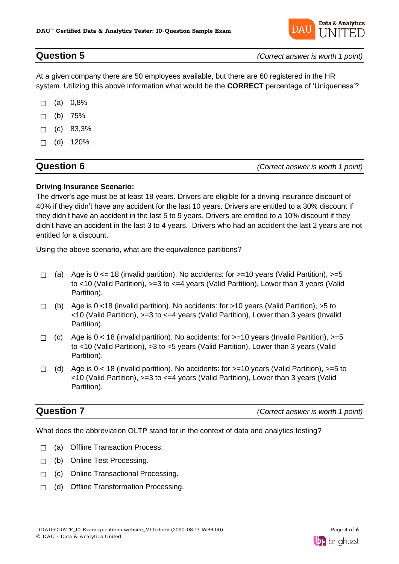

**Question 5** *(Correct answer is worth 1 point)*

At a given company there are 50 employees available, but there are 60 registered in the HR system. Utilizing this above information what would be the **CORRECT** percentage of 'Uniqueness'?

- $\Box$  (a) 0,8%
- $\Box$  (b) 75%
- $\Box$  (c) 83,3%
- $\Box$  (d) 120%

## **Question 6** *(Correct answer is worth 1 point)*

### **Driving Insurance Scenario:**

The driver's age must be at least 18 years. Drivers are eligible for a driving insurance discount of 40% if they didn't have any accident for the last 10 years. Drivers are entitled to a 30% discount if they didn't have an accident in the last 5 to 9 years. Drivers are entitled to a 10% discount if they didn't have an accident in the last 3 to 4 years. Drivers who had an accident the last 2 years are not entitled for a discount.

Using the above scenario, what are the equivalence partitions?

- $\Box$  (a) Age is 0 <= 18 (invalid partition). No accidents: for >=10 years (Valid Partition), >=5 to <10 (Valid Partition), >=3 to <=4 years (Valid Partition), Lower than 3 years (Valid Partition).
- $\Box$  (b) Age is 0 <18 (invalid partition). No accidents: for >10 years (Valid Partition), >5 to <10 (Valid Partition), >=3 to <=4 years (Valid Partition), Lower than 3 years (Invalid Partition).
- $\Box$  (c) Age is 0 < 18 (invalid partition). No accidents: for >=10 years (Invalid Partition), >=5 to <10 (Valid Partition), >3 to <5 years (Valid Partition), Lower than 3 years (Valid Partition).
- $\Box$  (d) Age is 0 < 18 (invalid partition). No accidents: for  $>=$  10 years (Valid Partition),  $>=$  5 to <10 (Valid Partition), >=3 to <=4 years (Valid Partition), Lower than 3 years (Valid Partition).

**Question 7** *(Correct answer is worth 1 point)*

What does the abbreviation OLTP stand for in the context of data and analytics testing?

- ☐ (a) Offline Transaction Process.
- ☐ (b) Online Test Processing.
- ☐ (c) Online Transactional Processing.
- ☐ (d) Offline Transformation Processing.

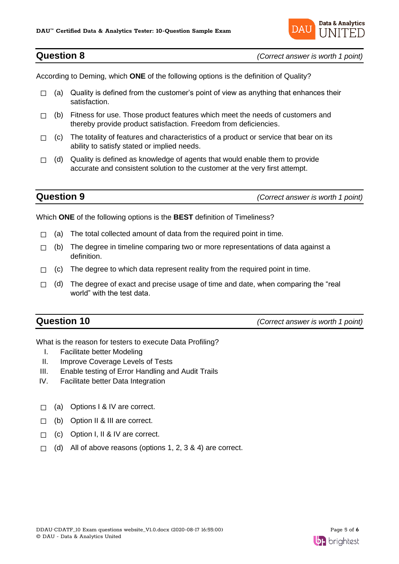

**Question 8** *(Correct answer is worth 1 point)*

According to Deming, which **ONE** of the following options is the definition of Quality?

- $\Box$  (a) Quality is defined from the customer's point of view as anything that enhances their satisfaction.
- $\Box$  (b) Fitness for use. Those product features which meet the needs of customers and thereby provide product satisfaction. Freedom from deficiencies.
- $\Box$  (c) The totality of features and characteristics of a product or service that bear on its ability to satisfy stated or implied needs.
- $\Box$  (d) Quality is defined as knowledge of agents that would enable them to provide accurate and consistent solution to the customer at the very first attempt.

**Question 9** *(Correct answer is worth 1 point)*

Which **ONE** of the following options is the **BEST** definition of Timeliness?

- $\Box$  (a) The total collected amount of data from the required point in time.
- $\Box$  (b) The degree in timeline comparing two or more representations of data against a definition.
- $\Box$  (c) The degree to which data represent reality from the required point in time.
- $\Box$  (d) The degree of exact and precise usage of time and date, when comparing the "real world" with the test data.

**Question 10** *(Correct answer is worth 1 point)*

What is the reason for testers to execute Data Profiling?

- I. Facilitate better Modeling
- II. Improve Coverage Levels of Tests
- III. Enable testing of Error Handling and Audit Trails
- IV. Facilitate better Data Integration
- ☐ (a) Options I & IV are correct.
- ☐ (b) Option II & III are correct.
- □ (c) Option I, II & IV are correct.
- $\Box$  (d) All of above reasons (options 1, 2, 3 & 4) are correct.